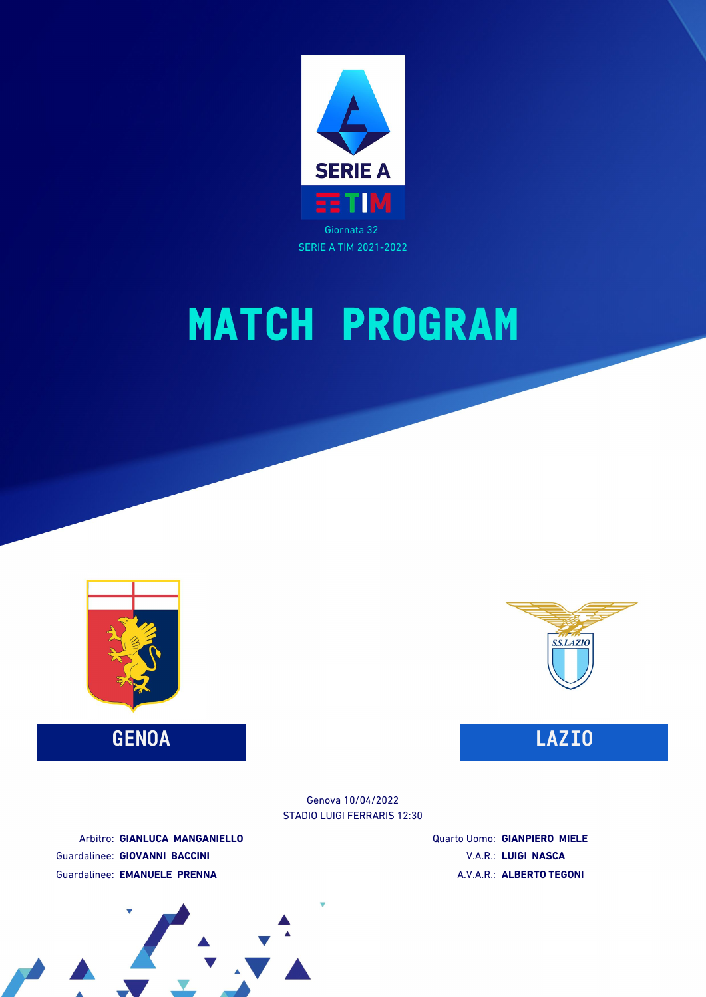



**GENOA LAZIO**



STADIO LUIGI FERRARIS 12:30 Genova 10/04/2022

Arbitro: **GIANLUCA MANGANIELLO** Guardalinee: **GIOVANNI BACCINI** Guardalinee: **EMANUELE PRENNA**

Quarto Uomo: **GIANPIERO MIELE** V.A.R.: **LUIGI NASCA** A.V.A.R.: **ALBERTO TEGONI**

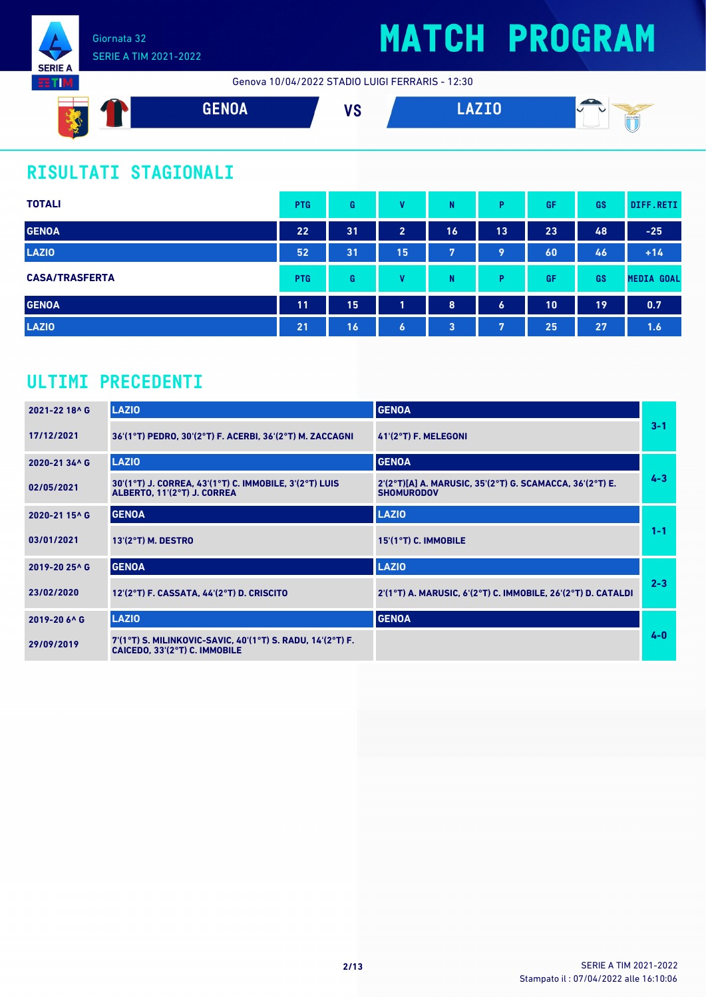

Genova 10/04/2022 STADIO LUIGI FERRARIS - 12:30



### **RISULTATI STAGIONALI**

| <b>TOTALI</b>         | <b>PTG</b> | G  | $\mathbf{u}$   | N  | P              | GF | GS | DIFF.RETI         |
|-----------------------|------------|----|----------------|----|----------------|----|----|-------------------|
| <b>GENOA</b>          | 22         | 31 | $\overline{2}$ | 16 | 13             | 23 | 48 | $-25$             |
| <b>LAZIO</b>          | 52         | 31 | 15             | 7  | 9              | 60 | 46 | $+14$             |
| <b>CASA/TRASFERTA</b> | <b>PTG</b> | G  | v              | N  | P              | GF | GS | <b>MEDIA GOAL</b> |
| <b>GENOA</b>          | 11         | 15 | 4              | 8  | $\overline{6}$ | 10 | 19 | 0.7               |
| <b>LAZIO</b>          | 21         | 16 | $\bullet$      | 3  | 7              | 25 | 27 | 1.6               |

### **ULTIMI PRECEDENTI**

| 2021-22 18^ G | <b>LAZIO</b>                                                                                | <b>GENOA</b>                                                                  |         |
|---------------|---------------------------------------------------------------------------------------------|-------------------------------------------------------------------------------|---------|
| 17/12/2021    | 36'(1°T) PEDRO, 30'(2°T) F. ACERBI, 36'(2°T) M. ZACCAGNI                                    | 41'(2°T) F. MELEGONI                                                          | $3 - 1$ |
| 2020-21 34^ G | <b>LAZIO</b>                                                                                | <b>GENOA</b>                                                                  |         |
| 02/05/2021    | 30'(1°T) J. CORREA, 43'(1°T) C. IMMOBILE, 3'(2°T) LUIS<br>ALBERTO, 11'(2°T) J. CORREA       | 2'(2°T)[A] A. MARUSIC, 35'(2°T) G. SCAMACCA, 36'(2°T) E.<br><b>SHOMURODOV</b> | $4 - 3$ |
| 2020-21 15^ G | <b>GENOA</b>                                                                                | <b>LAZIO</b>                                                                  |         |
| 03/01/2021    | 13'(2°T) M. DESTRO                                                                          | 15'(1°T) C. IMMOBILE                                                          | $1 - 1$ |
| 2019-20 25^ G | <b>GENOA</b>                                                                                | <b>LAZIO</b>                                                                  |         |
| 23/02/2020    | 12'(2°T) F. CASSATA, 44'(2°T) D. CRISCITO                                                   | 2'(1°T) A. MARUSIC, 6'(2°T) C. IMMOBILE, 26'(2°T) D. CATALDI                  | $2 - 3$ |
| 2019-20 6^ G  | <b>LAZIO</b>                                                                                | <b>GENOA</b>                                                                  |         |
| 29/09/2019    | 7'(1°T) S. MILINKOVIC-SAVIC, 40'(1°T) S. RADU, 14'(2°T) F.<br>CAICEDO, 33'(2°T) C. IMMOBILE |                                                                               | $4 - 0$ |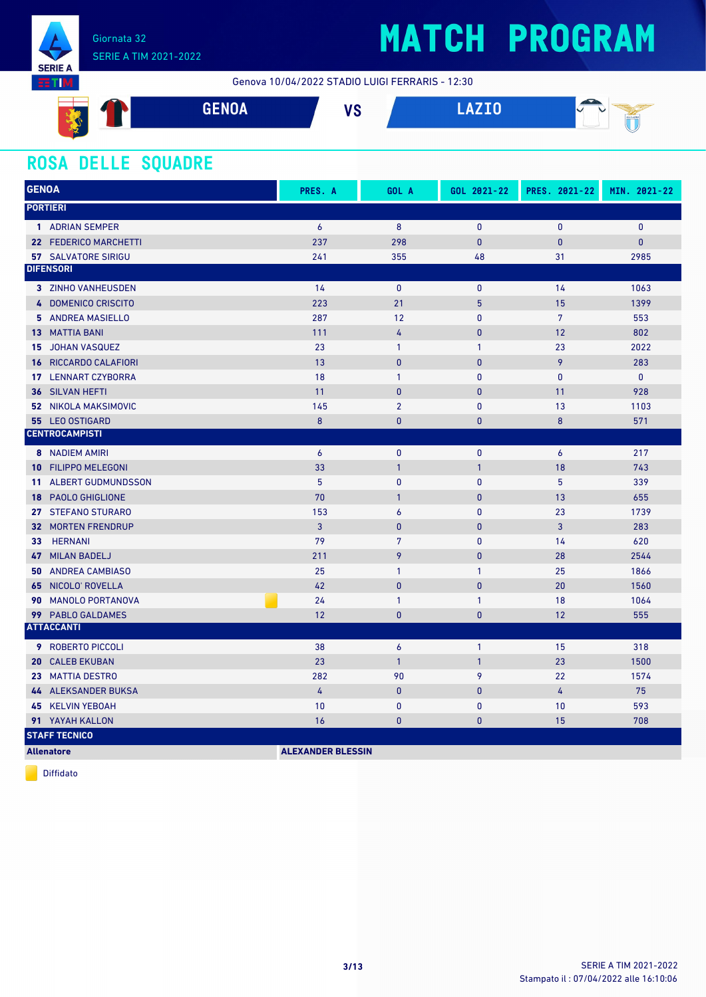

### SERIE A TIM 2021-2022

## **MATCH PROGRAM**

Genova 10/04/2022 STADIO LUIGI FERRARIS - 12:30



### **ROSA DELLE SQUADRE**

| <b>GENOA</b>                                 | PRES. A                  | GOL A            | GOL 2021-22  | PRES. 2021-22    | MIN. 2021-22 |
|----------------------------------------------|--------------------------|------------------|--------------|------------------|--------------|
| <b>PORTIERI</b>                              |                          |                  |              |                  |              |
| 1 ADRIAN SEMPER                              | $\boldsymbol{6}$         | $\boldsymbol{8}$ | $\pmb{0}$    | $\pmb{0}$        | 0            |
| 22 FEDERICO MARCHETTI                        | 237                      | 298              | $\mathbf{0}$ | $\mathbf{0}$     | $\pmb{0}$    |
| <b>57 SALVATORE SIRIGU</b>                   | 241                      | 355              | 48           | 31               | 2985         |
| <b>DIFENSORI</b>                             |                          |                  |              |                  |              |
| 3 ZINHO VANHEUSDEN                           | 14                       | $\mathbf{0}$     | $\mathbf{0}$ | 14               | 1063         |
| 4 DOMENICO CRISCITO                          | 223                      | 21               | 5            | 15               | 1399         |
| 5 ANDREA MASIELLO                            | 287                      | 12               | $\mathbf{0}$ | $7\overline{ }$  | 553          |
| <b>13 MATTIA BANI</b>                        | 111                      | 4                | $\pmb{0}$    | 12               | 802          |
| <b>JOHAN VASQUEZ</b><br>15                   | 23                       | $\mathbf{1}$     | $\mathbf{1}$ | 23               | 2022         |
| RICCARDO CALAFIORI<br>16                     | 13                       | $\bf{0}$         | $\mathbf{0}$ | 9                | 283          |
| <b>LENNART CZYBORRA</b><br>17                | 18                       | $\mathbf{1}$     | $\mathbf{0}$ | $\mathbf{0}$     | $\mathbf{0}$ |
| SILVAN HEFTI<br>36                           | 11                       | $\bf{0}$         | $\pmb{0}$    | 11               | 928          |
| NIKOLA MAKSIMOVIC<br>52 <sub>2</sub>         | 145                      | $\overline{2}$   | $\mathbf{0}$ | 13               | 1103         |
| 55 LEO OSTIGARD                              | 8                        | $\overline{0}$   | $\mathbf{0}$ | 8                | 571          |
| <b>CENTROCAMPISTI</b>                        |                          |                  |              |                  |              |
| 8 NADIEM AMIRI                               | 6                        | $\mathbf{0}$     | $\mathbf{0}$ | $\boldsymbol{6}$ | 217          |
| <b>FILIPPO MELEGONI</b><br>10                | 33                       | $\mathbf{1}$     | $\mathbf{1}$ | 18               | 743          |
| <b>ALBERT GUDMUNDSSON</b><br>11 <sup>1</sup> | 5                        | $\mathbf{0}$     | $\mathbf{0}$ | 5                | 339          |
| <b>PAOLO GHIGLIONE</b><br>18                 | 70                       | $\mathbf{1}$     | $\mathbf{0}$ | 13               | 655          |
| 27 STEFANO STURARO                           | 153                      | $\overline{6}$   | $\mathbf{0}$ | 23               | 1739         |
| <b>32 MORTEN FRENDRUP</b>                    | 3                        | $\bf{0}$         | $\mathbf{0}$ | 3                | 283          |
| <b>HERNANI</b><br>33                         | 79                       | $\overline{7}$   | $\mathbf{0}$ | 14               | 620          |
| <b>MILAN BADELJ</b><br>47                    | 211                      | 9                | $\pmb{0}$    | 28               | 2544         |
| <b>ANDREA CAMBIASO</b><br>50                 | 25                       | $\mathbf{1}$     | $\mathbf{1}$ | 25               | 1866         |
| NICOLO' ROVELLA<br>65                        | 42                       | $\mathbf{0}$     | $\mathbf{0}$ | 20               | 1560         |
| <b>MANOLO PORTANOVA</b><br>90                | 24                       | $\mathbf{1}$     | $\mathbf{1}$ | 18               | 1064         |
| 99 PABLO GALDAMES                            | 12                       | $\mathbf{0}$     | $\bf{0}$     | 12               | 555          |
| <b>ATTACCANTI</b>                            |                          |                  |              |                  |              |
| <b>9</b> ROBERTO PICCOLI                     | 38                       | $\pmb{6}$        | $\mathbf{1}$ | 15               | 318          |
| <b>CALEB EKUBAN</b><br>20                    | 23                       | $\mathbf{1}$     | $\mathbf{1}$ | 23               | 1500         |
| 23 MATTIA DESTRO                             | 282                      | 90               | 9            | 22               | 1574         |
| 44 ALEKSANDER BUKSA                          | 4                        | $\bf{0}$         | $\mathbf{0}$ | 4                | 75           |
| <b>45 KELVIN YEBOAH</b>                      | 10                       | $\bf{0}$         | $\mathbf{0}$ | 10               | 593          |
| 91 YAYAH KALLON                              | 16                       | $\mathbf{0}$     | $\mathbf{0}$ | 15               | 708          |
| <b>STAFF TECNICO</b>                         |                          |                  |              |                  |              |
| <b>Allenatore</b>                            | <b>ALEXANDER BLESSIN</b> |                  |              |                  |              |

Diffidato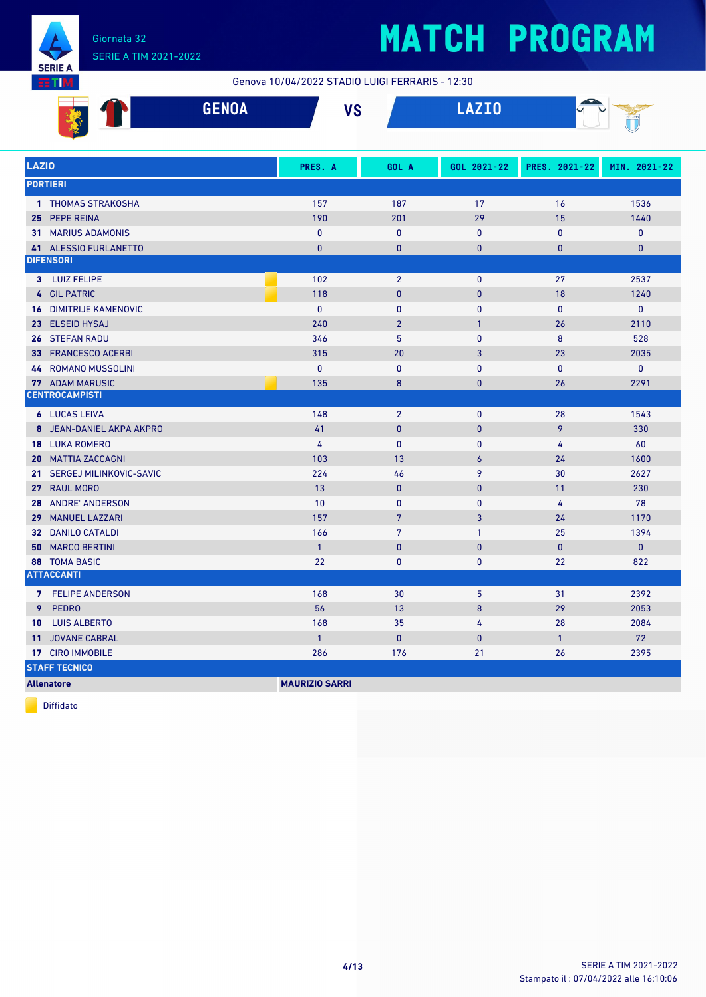

#### Giornata 32 SERIE A TIM 2021-2022

## **MATCH PROGRAM**

Genova 10/04/2022 STADIO LUIGI FERRARIS - 12:30

|            | $\sim$ $\sim$ $\sim$ $\sim$<br>−<br>ULIVUA | $\mathbf{u}$<br>10 | <b>ATTO</b><br>والمستنقل المتنازل المتناوب | -<br>___ |
|------------|--------------------------------------------|--------------------|--------------------------------------------|----------|
| <b>SOF</b> |                                            |                    |                                            | ∽        |

| <b>LAZIO</b>                            | PRES. A               | GOL A          | GOL 2021-22      | PRES. 2021-22  | MIN. 2021-22 |
|-----------------------------------------|-----------------------|----------------|------------------|----------------|--------------|
| <b>PORTIERI</b>                         |                       |                |                  |                |              |
| 1 THOMAS STRAKOSHA                      | 157                   | 187            | 17               | 16             | 1536         |
| 25 PEPE REINA                           | 190                   | 201            | 29               | 15             | 1440         |
| <b>31 MARIUS ADAMONIS</b>               | $\pmb{0}$             | $\pmb{0}$      | $\pmb{0}$        | $\pmb{0}$      | $\pmb{0}$    |
| 41 ALESSIO FURLANETTO                   | $\mathbf{0}$          | $\mathbf{0}$   | $\bf{0}$         | 0              | $\mathbf{0}$ |
| <b>DIFENSORI</b>                        |                       |                |                  |                |              |
| 3 LUIZ FELIPE                           | 102                   | $\overline{2}$ | $\mathbf{0}$     | 27             | 2537         |
| 4 GIL PATRIC                            | 118                   | $\mathbf{0}$   | $\mathbf{0}$     | 18             | 1240         |
| <b>16 DIMITRIJE KAMENOVIC</b>           | $\mathbf{0}$          | $\pmb{0}$      | $\pmb{0}$        | $\pmb{0}$      | 0            |
| 23 ELSEID HYSAJ                         | 240                   | $\overline{2}$ | $\overline{1}$   | 26             | 2110         |
| <b>26 STEFAN RADU</b>                   | 346                   | 5              | $\mathbf{0}$     | 8              | 528          |
| 33 FRANCESCO ACERBI                     | 315                   | 20             | 3                | 23             | 2035         |
| <b>44 ROMANO MUSSOLINI</b>              | $\mathbf{0}$          | $\pmb{0}$      | $\mathbf{0}$     | $\mathbf{0}$   | 0            |
| 77 ADAM MARUSIC                         | 135                   | 8              | $\bf{0}$         | 26             | 2291         |
| <b>CENTROCAMPISTI</b>                   |                       |                |                  |                |              |
| <b>6 LUCAS LEIVA</b>                    | 148                   | $\overline{2}$ | $\pmb{0}$        | 28             | 1543         |
| 8 JEAN-DANIEL AKPA AKPRO                | 41                    | $\mathbf{0}$   | $\mathbf{0}$     | 9              | 330          |
| <b>18 LUKA ROMERO</b>                   | $\overline{4}$        | $\mathbf{0}$   | $\mathbf{0}$     | 4              | 60           |
| 20 MATTIA ZACCAGNI                      | 103                   | 13             | $\boldsymbol{6}$ | 24             | 1600         |
| 21 SERGEJ MILINKOVIC-SAVIC              | 224                   | 46             | 9                | 30             | 2627         |
| 27 RAUL MORO                            | 13                    | $\mathbf{0}$   | $\mathbf{0}$     | 11             | 230          |
| 28 ANDRE' ANDERSON                      | 10                    | $\pmb{0}$      | $\pmb{0}$        | 4              | 78           |
| <b>MANUEL LAZZARI</b><br>29             | 157                   | $\overline{7}$ | 3                | 24             | 1170         |
| 32 DANILO CATALDI                       | 166                   | $\overline{7}$ | $\mathbf{1}$     | 25             | 1394         |
| <b>50 MARCO BERTINI</b>                 | $\mathbf{1}$          | $\mathbf 0$    | $\pmb{0}$        | $\mathbf{0}$   | $\mathbf{0}$ |
| 88 TOMA BASIC                           | 22                    | 0              | 0                | 22             | 822          |
| <b>ATTACCANTI</b>                       |                       |                |                  |                |              |
| 7 FELIPE ANDERSON                       | 168                   | 30             | 5                | 31             | 2392         |
| 9 PEDRO                                 | 56                    | 13             | 8                | 29             | 2053         |
| <b>LUIS ALBERTO</b><br>10               | 168                   | 35             | 4                | 28             | 2084         |
| <b>JOVANE CABRAL</b><br>11 <sup>1</sup> | $\overline{1}$        | $\pmb{0}$      | $\mathbf{0}$     | $\overline{1}$ | 72           |
| 17 CIRO IMMOBILE                        | 286                   | 176            | 21               | 26             | 2395         |
| <b>STAFF TECNICO</b>                    |                       |                |                  |                |              |
| <b>Allenatore</b>                       | <b>MAURIZIO SARRI</b> |                |                  |                |              |

Diffidato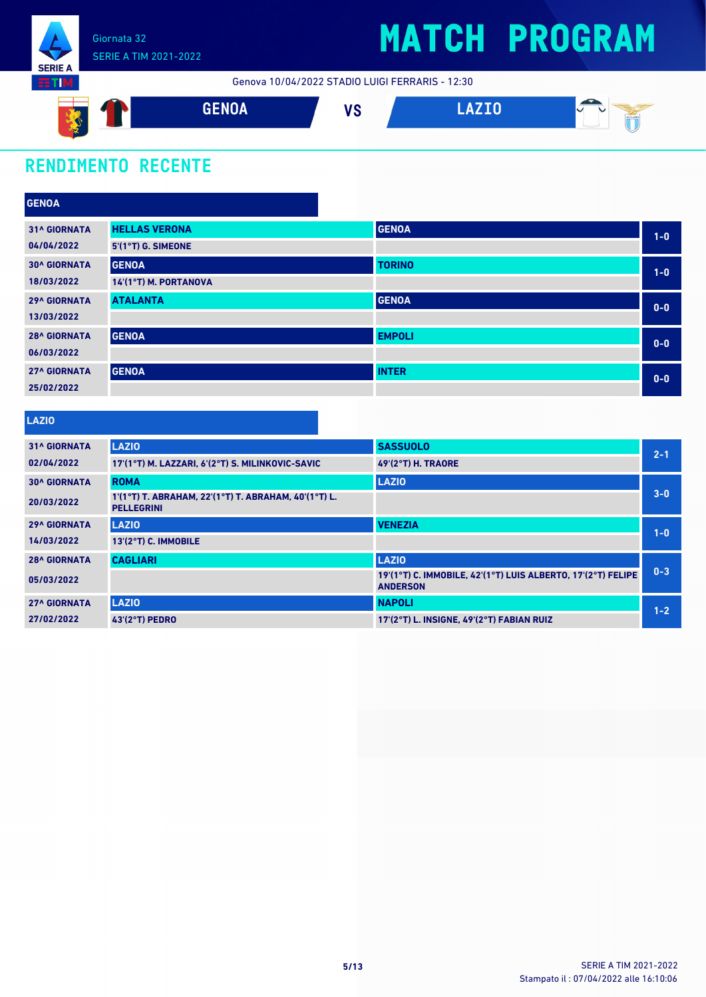

Genova 10/04/2022 STADIO LUIGI FERRARIS - 12:30



### **RENDIMENTO RECENTE**

| <b>GENOA</b>        |                       |               |       |
|---------------------|-----------------------|---------------|-------|
| <b>31^ GIORNATA</b> | <b>HELLAS VERONA</b>  | <b>GENOA</b>  | $1-0$ |
| 04/04/2022          | 5'(1°T) G. SIMEONE    |               |       |
| <b>30^ GIORNATA</b> | <b>GENOA</b>          | <b>TORINO</b> | $1-0$ |
| 18/03/2022          | 14'(1°T) M. PORTANOVA |               |       |
| <b>29^ GIORNATA</b> | <b>ATALANTA</b>       | <b>GENOA</b>  | $0-0$ |
| 13/03/2022          |                       |               |       |
| <b>28^ GIORNATA</b> | <b>GENOA</b>          | <b>EMPOLI</b> | $0-0$ |
| 06/03/2022          |                       |               |       |
| <b>27^ GIORNATA</b> | <b>GENOA</b>          | <b>INTER</b>  | $0-0$ |
| 25/02/2022          |                       |               |       |

#### **LAZIO**

| <b>31^ GIORNATA</b> | <b>LAZIO</b>                                                              | <b>SASSUOLO</b>                                                                 | $2 - 1$ |
|---------------------|---------------------------------------------------------------------------|---------------------------------------------------------------------------------|---------|
| 02/04/2022          | 17'(1°T) M. LAZZARI, 6'(2°T) S. MILINKOVIC-SAVIC                          | <b>49'(2°T) H. TRAORE</b>                                                       |         |
| <b>30^ GIORNATA</b> | <b>ROMA</b>                                                               | <b>LAZIO</b>                                                                    |         |
| 20/03/2022          | 1'(1°T) T. ABRAHAM, 22'(1°T) T. ABRAHAM, 40'(1°T) L.<br><b>PELLEGRINI</b> |                                                                                 | $3 - 0$ |
| <b>29^ GIORNATA</b> | <b>LAZIO</b>                                                              | <b>VENEZIA</b>                                                                  | $1 - 0$ |
| 14/03/2022          | 13'(2°T) C. IMMOBILE                                                      |                                                                                 |         |
| <b>28^ GIORNATA</b> | <b>CAGLIARI</b>                                                           | <b>LAZIO</b>                                                                    |         |
| 05/03/2022          |                                                                           | 19'(1°T) C. IMMOBILE, 42'(1°T) LUIS ALBERTO, 17'(2°T) FELIPE<br><b>ANDERSON</b> | $0 - 3$ |
| <b>27^ GIORNATA</b> | <b>LAZIO</b>                                                              | <b>NAPOLI</b>                                                                   | $1 - 2$ |
| 27/02/2022          | 43'(2°T) PEDRO                                                            | 17'(2°T) L. INSIGNE, 49'(2°T) FABIAN RUIZ                                       |         |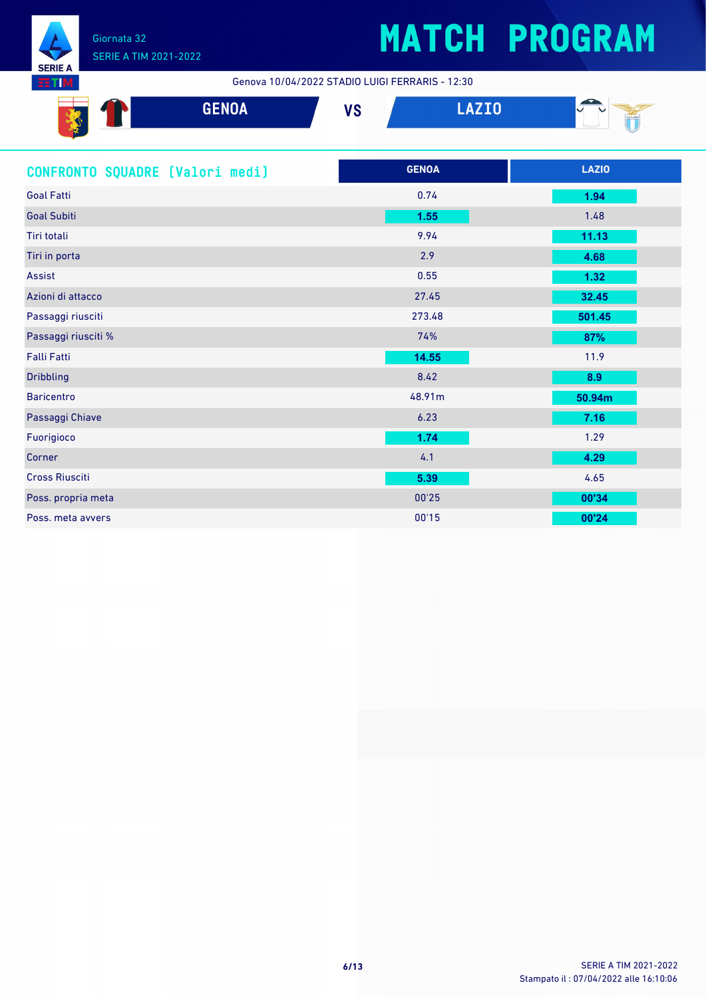

### SERIE A TIM 2021-2022

## **MATCH PROGRAM**

Genova 10/04/2022 STADIO LUIGI FERRARIS - 12:30

| -     | <b>GENOA</b> | uо<br>v u | $- - - -$<br>المستقالية | $\overline{\phantom{a}}$ |
|-------|--------------|-----------|-------------------------|--------------------------|
| Sept. |              |           |                         |                          |

| CONFRONTO SQUADRE [Valori medi] | <b>GENOA</b> | <b>LAZIO</b> |
|---------------------------------|--------------|--------------|
| <b>Goal Fatti</b>               | 0.74         | 1.94         |
| <b>Goal Subiti</b>              | 1.55         | 1.48         |
| Tiri totali                     | 9.94         | 11.13        |
| Tiri in porta                   | 2.9          | 4.68         |
| Assist                          | 0.55         | $1.32$       |
| Azioni di attacco               | 27.45        | 32.45        |
| Passaggi riusciti               | 273.48       | 501.45       |
| Passaggi riusciti %             | 74%          | 87%          |
| <b>Falli Fatti</b>              | 14.55        | 11.9         |
| <b>Dribbling</b>                | 8.42         | 8.9          |
| <b>Baricentro</b>               | 48.91m       | 50.94m       |
| Passaggi Chiave                 | 6.23         | 7.16         |
| Fuorigioco                      | 1.74         | 1.29         |
| Corner                          | 4.1          | 4.29         |
| <b>Cross Riusciti</b>           | 5.39         | 4.65         |
| Poss. propria meta              | 00'25        | 00'34        |
| Poss, meta avvers               | 00'15        | 00'24        |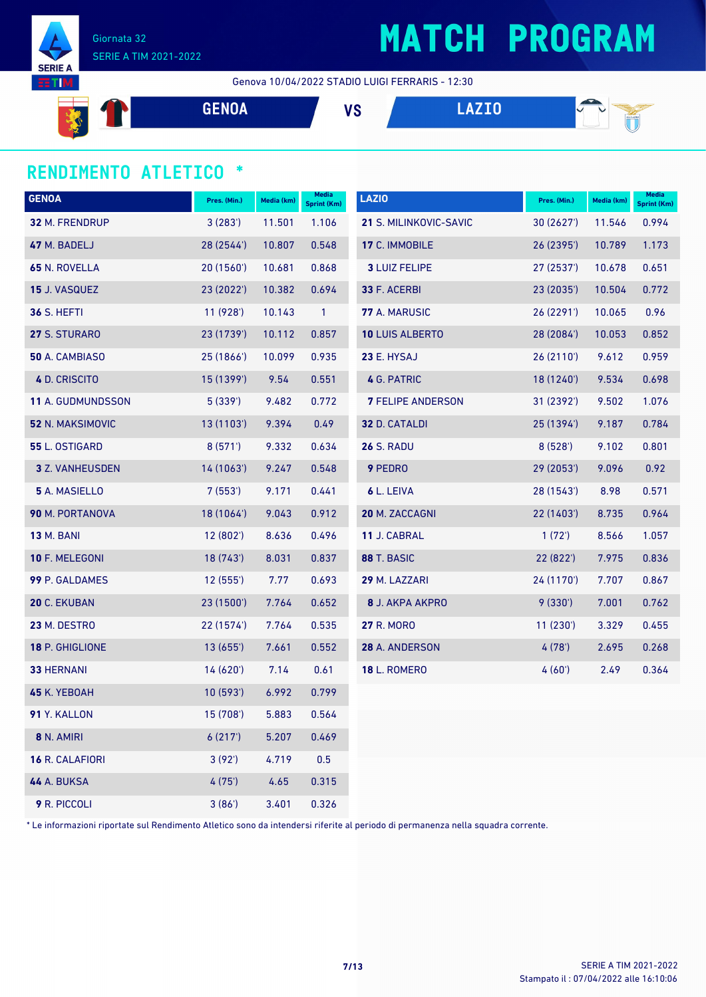

Giornata 32 SERIE A TIM 2021-2022

#### Genova 10/04/2022 STADIO LUIGI FERRARIS - 12:30

**EXAMPLE 1 GENOA VS LAZIO** 
$$
\bullet
$$
 **1**  $\bullet$  **1**  $\bullet$  **1**  $\bullet$  **1**  $\bullet$  **1**  $\bullet$  **1**  $\bullet$  **1**  $\bullet$  **1**  $\bullet$  **1**  $\bullet$  **1**  $\bullet$  **1**  $\bullet$  **1**  $\bullet$  **1**  $\bullet$  **1**  $\bullet$  **1**  $\bullet$  **1**  $\bullet$  **1**  $\bullet$  **1**  $\bullet$  **1**  $\bullet$  **1**  $\bullet$  **1**  $\bullet$  **1**  $\bullet$  **1**  $\bullet$  **1**  $\bullet$  **1**  $\bullet$  **1**  $\bullet$  **1**  $\bullet$  **1**  $\bullet$  **1**  $\bullet$  **1**  $\bullet$  **1**  $\bullet$  **1**  $\bullet$  **1**  $\bullet$  **1**  $\bullet$  **1**  $\bullet$  **1**  $\bullet$  **1**  $\bullet$  **1**  $\bullet$  **1**  $\bullet$  **1**  $\bullet$  **1**  $\bullet$  **1**  $\bullet$  **1** 

#### **RENDIMENTO ATLETICO \***

| <b>GENOA</b>             | Pres. (Min.) | Media (km) | Media<br>Sprint (Km) | <b>LAZIO</b>             | Pres. (Min.) | Media (km) | Media<br><b>Sprint (Km)</b> |
|--------------------------|--------------|------------|----------------------|--------------------------|--------------|------------|-----------------------------|
| 32 M. FRENDRUP           | 3(283)       | 11.501     | 1.106                | 21 S. MILINKOVIC-SAVIC   | 30(2627)     | 11.546     | 0.994                       |
| 47 M. BADELJ             | 28 (2544')   | 10.807     | 0.548                | 17 C. IMMOBILE           | 26 (2395')   | 10.789     | 1.173                       |
| 65 N. ROVELLA            | 20(1560)     | 10.681     | 0.868                | <b>3 LUIZ FELIPE</b>     | 27 (2537')   | 10.678     | 0.651                       |
| 15 J. VASQUEZ            | 23(2022)     | 10.382     | 0.694                | 33 F. ACERBI             | 23(2035)     | 10.504     | 0.772                       |
| <b>36 S. HEFTI</b>       | 11(928)      | 10.143     | $\mathbf{1}$         | 77 A. MARUSIC            | 26 (2291')   | 10.065     | 0.96                        |
| 27 S. STURARO            | 23 (1739')   | 10.112     | 0.857                | 10 LUIS ALBERTO          | 28 (2084')   | 10.053     | 0.852                       |
| 50 A. CAMBIASO           | 25 (1866')   | 10.099     | 0.935                | 23 E. HYSAJ              | 26(2110)     | 9.612      | 0.959                       |
| 4 D. CRISCITO            | 15 (1399')   | 9.54       | 0.551                | 4 G. PATRIC              | 18 (1240')   | 9.534      | 0.698                       |
| <b>11 A. GUDMUNDSSON</b> | 5(339)       | 9.482      | 0.772                | <b>7 FELIPE ANDERSON</b> | 31 (2392')   | 9.502      | 1.076                       |
| <b>52 N. MAKSIMOVIC</b>  | 13 (1103')   | 9.394      | 0.49                 | 32 D. CATALDI            | 25 (1394')   | 9.187      | 0.784                       |
| 55 L. OSTIGARD           | 8(571)       | 9.332      | 0.634                | <b>26 S. RADU</b>        | 8(528)       | 9.102      | 0.801                       |
| <b>3</b> Z. VANHEUSDEN   | 14 (1063')   | 9.247      | 0.548                | 9 PEDRO                  | 29 (2053')   | 9.096      | 0.92                        |
| 5 A. MASIELLO            | 7(553)       | 9.171      | 0.441                | 6 L. LEIVA               | 28 (1543')   | 8.98       | 0.571                       |
| 90 M. PORTANOVA          | 18 (1064')   | 9.043      | 0.912                | 20 M. ZACCAGNI           | 22 (1403')   | 8.735      | 0.964                       |
| <b>13 M. BANI</b>        | 12(802')     | 8.636      | 0.496                | 11 J. CABRAL             | 1(72)        | 8.566      | 1.057                       |
| 10 F. MELEGONI           | 18(743)      | 8.031      | 0.837                | 88 T. BASIC              | 22(822')     | 7.975      | 0.836                       |
| 99 P. GALDAMES           | 12(555)      | 7.77       | 0.693                | 29 M. LAZZARI            | 24 (1170')   | 7.707      | 0.867                       |
| 20 C. EKUBAN             | 23 (1500')   | 7.764      | 0.652                | <b>8 J. AKPA AKPRO</b>   | 9(330')      | 7.001      | 0.762                       |
| 23 M. DESTRO             | 22 (1574')   | 7.764      | 0.535                | <b>27 R. MORO</b>        | 11(230')     | 3.329      | 0.455                       |
| 18 P. GHIGLIONE          | 13(655)      | 7.661      | 0.552                | 28 A. ANDERSON           | 4(78)        | 2.695      | 0.268                       |
| <b>33 HERNANI</b>        | 14(620)      | 7.14       | 0.61                 | <b>18 L. ROMERO</b>      | 4(60)        | 2.49       | 0.364                       |
| 45 K. YEBOAH             | 10(593)      | 6.992      | 0.799                |                          |              |            |                             |
| 91 Y. KALLON             | 15 (708')    | 5.883      | 0.564                |                          |              |            |                             |
| 8 N. AMIRI               | 6(217)       | 5.207      | 0.469                |                          |              |            |                             |
| 16 R. CALAFIORI          | 3(92)        | 4.719      | 0.5                  |                          |              |            |                             |
| <b>44 A. BUKSA</b>       | 4(75)        | 4.65       | 0.315                |                          |              |            |                             |
| 9 R. PICCOLI             | 3(86')       | 3.401      | 0.326                |                          |              |            |                             |

\* Le informazioni riportate sul Rendimento Atletico sono da intendersi riferite al periodo di permanenza nella squadra corrente.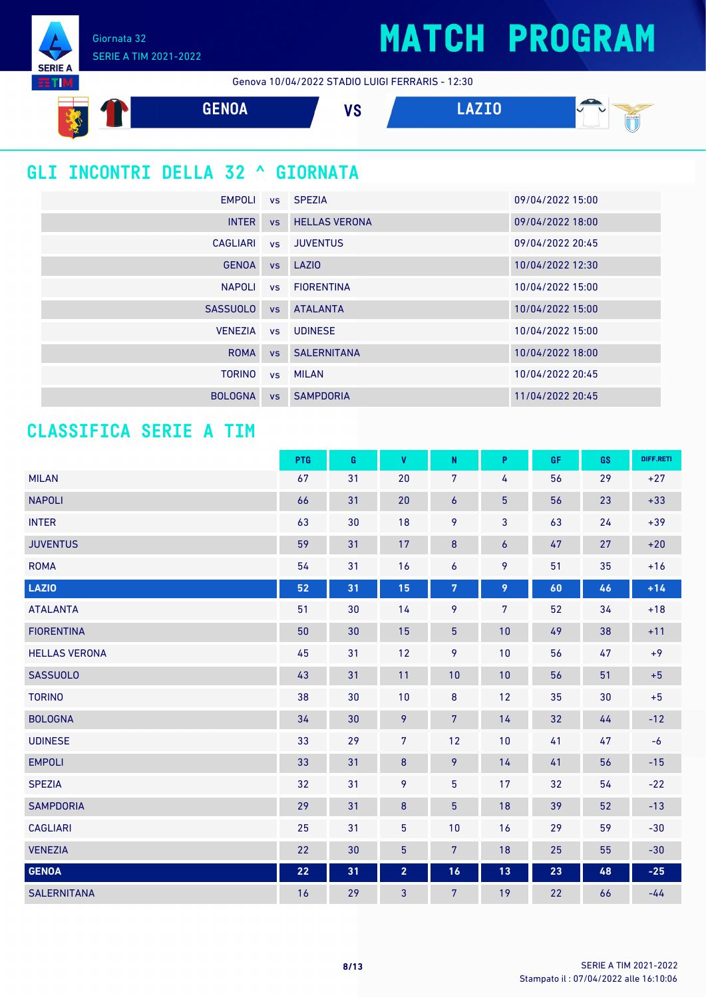Giornata 32 SERIE A TIM 2021-2022

**SERIE A ETIM** 

Genova 10/04/2022 STADIO LUIGI FERRARIS - 12:30



### **GLI INCONTRI DELLA 32 ^ GIORNATA**

| EMPOLI vs SPEZIA |    |                         | 09/04/2022 15:00 |
|------------------|----|-------------------------|------------------|
| <b>INTER</b>     |    | <b>vs</b> HELLAS VERONA | 09/04/2022 18:00 |
|                  |    | CAGLIARI vs JUVENTUS    | 09/04/2022 20:45 |
| <b>GENOA</b>     |    | vs LAZIO                | 10/04/2022 12:30 |
| <b>NAPOLI</b>    |    | vs FIORENTINA           | 10/04/2022 15:00 |
| <b>SASSUOLO</b>  |    | <b>vs</b> ATALANTA      | 10/04/2022 15:00 |
| <b>VENEZIA</b>   |    | vs UDINESE              | 10/04/2022 15:00 |
| <b>ROMA</b>      |    | <b>vs</b> SALERNITANA   | 10/04/2022 18:00 |
| <b>TORINO</b>    |    | vs MILAN                | 10/04/2022 20:45 |
| <b>BOLOGNA</b>   | VS | <b>SAMPDORIA</b>        | 11/04/2022 20:45 |

### **CLASSIFICA SERIE A TIM**

|                      | PTG | G  | $\pmb{\mathsf{V}}$ | ${\sf N}$        | P                | GF | GS | DIFF.RETI |
|----------------------|-----|----|--------------------|------------------|------------------|----|----|-----------|
| <b>MILAN</b>         | 67  | 31 | 20                 | $\overline{7}$   | 4                | 56 | 29 | $+27$     |
| <b>NAPOLI</b>        | 66  | 31 | 20                 | $\boldsymbol{6}$ | $\overline{5}$   | 56 | 23 | $+33$     |
| <b>INTER</b>         | 63  | 30 | 18                 | 9                | 3                | 63 | 24 | $+39$     |
| <b>JUVENTUS</b>      | 59  | 31 | 17                 | $\boldsymbol{8}$ | $\boldsymbol{6}$ | 47 | 27 | $+20$     |
| <b>ROMA</b>          | 54  | 31 | 16                 | 6                | 9                | 51 | 35 | $+16$     |
| <b>LAZIO</b>         | 52  | 31 | 15                 | $\overline{7}$   | 9                | 60 | 46 | $+14$     |
| <b>ATALANTA</b>      | 51  | 30 | 14                 | 9                | $7\phantom{.}$   | 52 | 34 | $+18$     |
| <b>FIORENTINA</b>    | 50  | 30 | 15                 | $\overline{5}$   | 10               | 49 | 38 | $+11$     |
| <b>HELLAS VERONA</b> | 45  | 31 | 12                 | 9                | 10               | 56 | 47 | $+9$      |
| <b>SASSUOLO</b>      | 43  | 31 | 11                 | 10               | 10               | 56 | 51 | $+5$      |
| <b>TORINO</b>        | 38  | 30 | 10                 | $\bf 8$          | 12               | 35 | 30 | $+5$      |
| <b>BOLOGNA</b>       | 34  | 30 | 9                  | $\overline{7}$   | 14               | 32 | 44 | $-12$     |
| <b>UDINESE</b>       | 33  | 29 | $\overline{7}$     | 12               | 10               | 41 | 47 | $-6$      |
| <b>EMPOLI</b>        | 33  | 31 | $\bf 8$            | 9                | 14               | 41 | 56 | $-15$     |
| <b>SPEZIA</b>        | 32  | 31 | 9                  | 5                | 17               | 32 | 54 | $-22$     |
| <b>SAMPDORIA</b>     | 29  | 31 | $\bf 8$            | $\overline{5}$   | 18               | 39 | 52 | $-13$     |
| <b>CAGLIARI</b>      | 25  | 31 | $\overline{5}$     | 10               | 16               | 29 | 59 | $-30$     |
| <b>VENEZIA</b>       | 22  | 30 | $\overline{5}$     | $\overline{7}$   | 18               | 25 | 55 | $-30$     |
| <b>GENOA</b>         | 22  | 31 | $\overline{2}$     | 16               | 13               | 23 | 48 | $-25$     |
| <b>SALERNITANA</b>   | 16  | 29 | 3                  | 7                | 19               | 22 | 66 | $-44$     |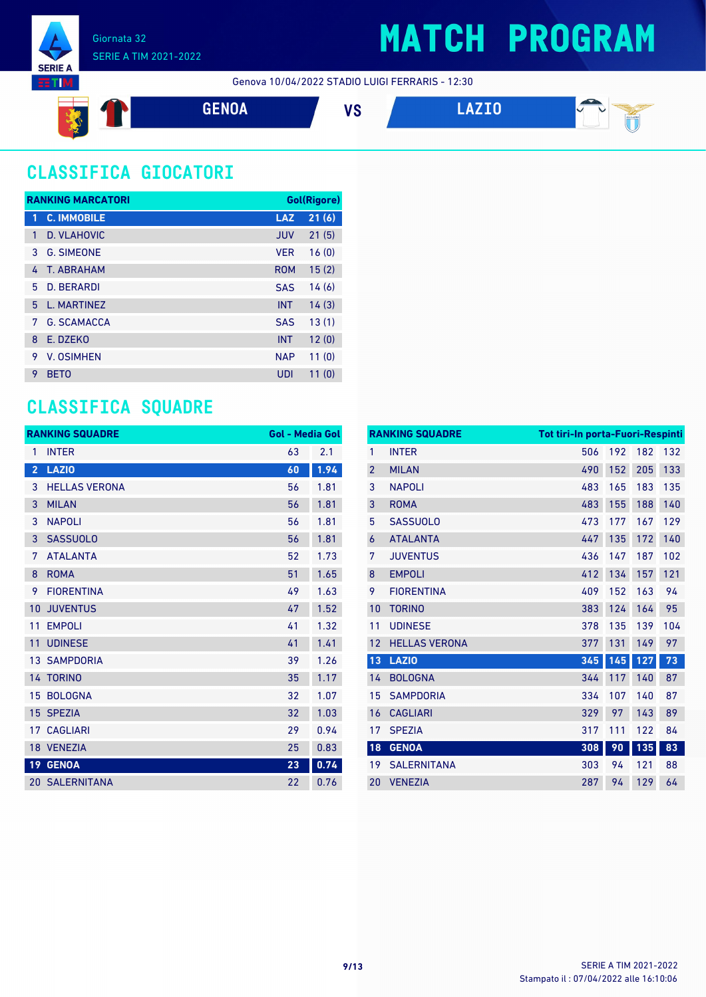

#### Genova 10/04/2022 STADIO LUIGI FERRARIS - 12:30



### **CLASSIFICA GIOCATORI**

|   | <b>RANKING MARCATORI</b> |            | <b>Gol(Rigore)</b> |
|---|--------------------------|------------|--------------------|
| 1 | <b>C. IMMOBILE</b>       | <b>LAZ</b> | 21(6)              |
| 1 | D. VLAHOVIC              | <b>JUV</b> | 21(5)              |
| 3 | <b>G. SIMEONE</b>        | <b>VFR</b> | 16(0)              |
| 4 | T. ABRAHAM               | <b>ROM</b> | 15(2)              |
| 5 | <b>D. BERARDI</b>        | <b>SAS</b> | 14(6)              |
| 5 | <b>L. MARTINEZ</b>       | <b>INT</b> | 14(3)              |
| 7 | <b>G. SCAMACCA</b>       | <b>SAS</b> | 13(1)              |
| 8 | E. DZEKO                 | <b>INT</b> | 12(0)              |
| 9 | V. OSIMHEN               | <b>NAP</b> | 11(0)              |
| 9 | <b>BETO</b>              | UDI        | 11(0)              |

### **CLASSIFICA SQUADRE**

|                 | <b>RANKING SQUADRE</b> | <b>Gol - Media Gol</b> |      |
|-----------------|------------------------|------------------------|------|
| 1               | <b>INTER</b>           | 63                     | 2.1  |
| $\overline{2}$  | <b>LAZIO</b>           | 60                     | 1.94 |
| 3               | <b>HELLAS VERONA</b>   | 56                     | 1.81 |
| 3               | <b>MILAN</b>           | 56                     | 1.81 |
| 3               | <b>NAPOLI</b>          | 56                     | 1.81 |
| 3               | <b>SASSUOLO</b>        | 56                     | 1.81 |
| 7               | <b>ATALANTA</b>        | 52                     | 1.73 |
| 8               | <b>ROMA</b>            | 51                     | 1.65 |
| 9               | <b>FIORENTINA</b>      | 49                     | 1.63 |
| 10              | <b>JUVENTUS</b>        | 47                     | 1.52 |
| 11              | <b>EMPOLI</b>          | 41                     | 1.32 |
| 11              | <b>UDINESE</b>         | 41                     | 1.41 |
|                 | <b>13 SAMPDORIA</b>    | 39                     | 1.26 |
|                 | 14 TORINO              | 35                     | 1.17 |
| 15              | <b>BOLOGNA</b>         | 32                     | 1.07 |
| 15              | <b>SPEZIA</b>          | 32                     | 1.03 |
| 17              | <b>CAGLIARI</b>        | 29                     | 0.94 |
|                 | 18 VENEZIA             | 25                     | 0.83 |
| 19 <sup>°</sup> | <b>GENOA</b>           | 23                     | 0.74 |
|                 | <b>20 SALERNITANA</b>  | 22                     | 0.76 |

|                | <b>RANKING SQUADRE</b> | <b>Tot tiri-In porta-Fuori-Respinti</b> |     |     |     |
|----------------|------------------------|-----------------------------------------|-----|-----|-----|
| 1              | <b>INTER</b>           | 506                                     | 192 | 182 | 132 |
| $\overline{2}$ | <b>MILAN</b>           | 490                                     | 152 | 205 | 133 |
| 3              | <b>NAPOLI</b>          | 483                                     | 165 | 183 | 135 |
| 3              | <b>ROMA</b>            | 483                                     | 155 | 188 | 140 |
| 5              | <b>SASSUOLO</b>        | 473                                     | 177 | 167 | 129 |
| 6              | <b>ATALANTA</b>        | 447                                     | 135 | 172 | 140 |
| 7              | <b>JUVENTUS</b>        | 436                                     | 147 | 187 | 102 |
| 8              | <b>EMPOLI</b>          | 412                                     | 134 | 157 | 121 |
| 9              | <b>FIORENTINA</b>      | 409                                     | 152 | 163 | 94  |
| 10             | <b>TORINO</b>          | 383                                     | 124 | 164 | 95  |
| 11             | <b>UDINESE</b>         | 378                                     | 135 | 139 | 104 |
| 12             | <b>HELLAS VERONA</b>   | 377                                     | 131 | 149 | 97  |
| 13             | <b>LAZIO</b>           | 345                                     | 145 | 127 | 73  |
| 14             | <b>BOLOGNA</b>         | 344                                     | 117 | 140 | 87  |
| 15             | <b>SAMPDORIA</b>       | 334                                     | 107 | 140 | 87  |
| 16             | <b>CAGLIARI</b>        | 329                                     | 97  | 143 | 89  |
| 17             | <b>SPEZIA</b>          | 317                                     | 111 | 122 | 84  |
| 18             | <b>GENOA</b>           | 308                                     | 90  | 135 | 83  |
| 19             | <b>SALERNITANA</b>     | 303                                     | 94  | 121 | 88  |
| 20             | <b>VENEZIA</b>         | 287                                     | 94  | 129 | 64  |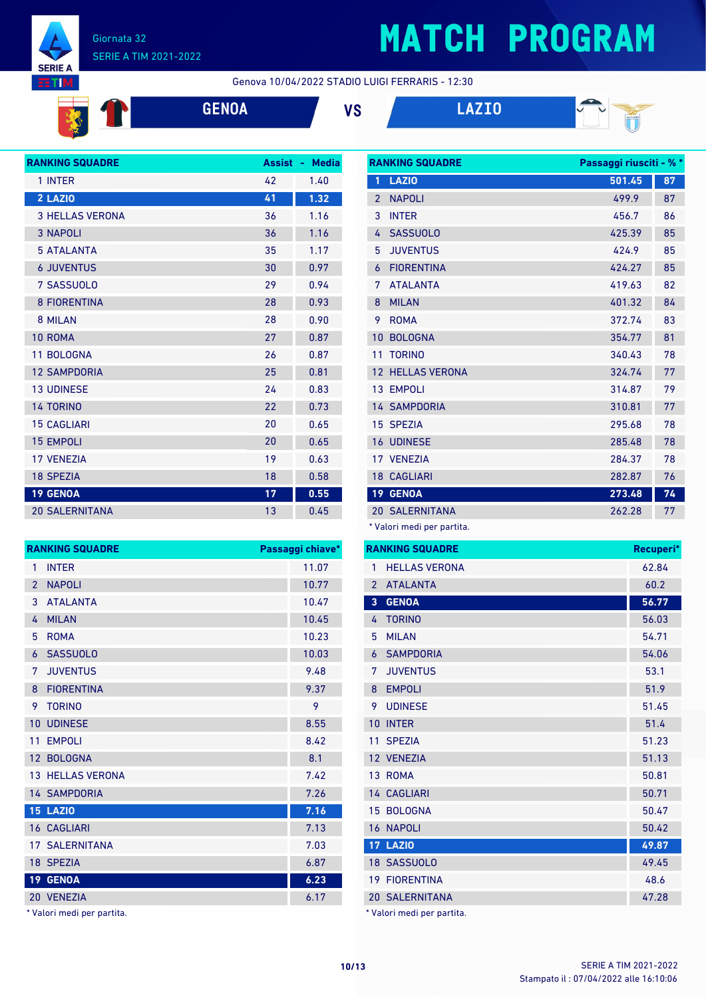

#### Giornata 32 SERIE A TIM 2021-2022

## **MATCH PROGRAM**

#### Genova 10/04/2022 STADIO LUIGI FERRARIS - 12:30

**GENOA VS LAZIO**

**RANKING SQUADRE Passaggi riusciti - % \***



| <b>RANKING SQUADRE</b> | <b>Assist</b> | <b>Media</b><br>٠ |
|------------------------|---------------|-------------------|
| 1 INTER                | 42            | 1.40              |
| 2 LAZIO                | 41            | 1.32              |
| <b>3 HELLAS VERONA</b> | 36            | 1.16              |
| <b>3 NAPOLI</b>        | 36            | 1.16              |
| <b>5 ATALANTA</b>      | 35            | 1.17              |
| <b>6 JUVENTUS</b>      | 30            | 0.97              |
| 7 SASSUOLO             | 29            | 0.94              |
| <b>8 FIORENTINA</b>    | 28            | 0.93              |
| 8 MILAN                | 28            | 0.90              |
| 10 ROMA                | 27            | 0.87              |
| 11 BOLOGNA             | 26            | 0.87              |
| <b>12 SAMPDORIA</b>    | 25            | 0.81              |
| <b>13 UDINESE</b>      | 24            | 0.83              |
| <b>14 TORINO</b>       | 22            | 0.73              |
| <b>15 CAGLIARI</b>     | 20            | 0.65              |
| <b>15 EMPOLI</b>       | 20            | 0.65              |
| <b>17 VFNF7IA</b>      | 19            | 0.63              |
| <b>18 SPEZIA</b>       | 18            | 0.58              |
| <b>19 GENOA</b>        | 17            | 0.55              |
| <b>20 SALERNITANA</b>  | 13            | 0.45              |

| <b>RANKING SQUADRE</b> |                         | Passaggi chiave* |
|------------------------|-------------------------|------------------|
| $\mathbf{1}$           | <b>INTER</b>            | 11.07            |
| $\overline{2}$         | <b>NAPOLI</b>           | 10.77            |
| 3                      | <b>ATALANTA</b>         | 10.47            |
| 4                      | <b>MILAN</b>            | 10.45            |
| 5                      | <b>ROMA</b>             | 10.23            |
| 6                      | <b>SASSUOLO</b>         | 10.03            |
| 7                      | <b>JUVENTUS</b>         | 9.48             |
| 8                      | <b>FIORENTINA</b>       | 9.37             |
| 9                      | <b>TORINO</b>           | 9                |
| 10                     | <b>UDINESE</b>          | 8.55             |
| 11                     | <b>EMPOLI</b>           | 8.42             |
|                        | 12 BOLOGNA              | 8.1              |
|                        | <b>13 HELLAS VERONA</b> | 7.42             |
|                        | <b>14 SAMPDORIA</b>     | 7.26             |
|                        | <b>15 LAZIO</b>         | 7.16             |
|                        | 16 CAGLIARI             | 7.13             |
|                        | <b>17 SALERNITANA</b>   | 7.03             |
|                        | 18 SPEZIA               | 6.87             |
| 19 <sup>°</sup>        | <b>GENOA</b>            | 6.23             |
|                        | 20 VENEZIA              | 6.17             |

Valori medi per partita.

|                | שמשאט שנווחומה       | r assayyı ı lusulu - 70 |    |
|----------------|----------------------|-------------------------|----|
| 1              | <b>LAZIO</b>         | 501.45                  | 87 |
| $\overline{2}$ | <b>NAPOLI</b>        | 499.9                   | 87 |
| 3              | <b>INTER</b>         | 456.7                   | 86 |
| 4              | <b>SASSUOLO</b>      | 425.39                  | 85 |
| 5              | <b>JUVENTUS</b>      | 424.9                   | 85 |
| 6              | <b>FIORENTINA</b>    | 424.27                  | 85 |
| 7              | <b>ATALANTA</b>      | 419.63                  | 82 |
| 8              | <b>MILAN</b>         | 401.32                  | 84 |
| 9              | <b>ROMA</b>          | 372.74                  | 83 |
| 10             | <b>BOLOGNA</b>       | 354.77                  | 81 |
| 11             | <b>TORINO</b>        | 340.43                  | 78 |
| 12             | <b>HELLAS VERONA</b> | 324.74                  | 77 |
|                | 13 EMPOLI            | 314.87                  | 79 |
|                | <b>14 SAMPDORIA</b>  | 310.81                  | 77 |
|                | 15 SPEZIA            | 295.68                  | 78 |
| 16             | <b>UDINESE</b>       | 285.48                  | 78 |
|                | 17 VENEZIA           | 284.37                  | 78 |
|                | <b>18 CAGLIARI</b>   | 282.87                  | 76 |
| 19             | <b>GENOA</b>         | 273.48                  | 74 |
| 20             | <b>SALERNITANA</b>   | 262.28                  | 77 |
|                |                      |                         |    |

\* Valori medi per partita.

|                 | <b>RANKING SQUADRE</b> | Recuperi* |
|-----------------|------------------------|-----------|
| 1               | <b>HELLAS VERONA</b>   | 62.84     |
| $\overline{2}$  | <b>ATALANTA</b>        | 60.2      |
| 3               | <b>GENOA</b>           | 56.77     |
| 4               | <b>TORINO</b>          | 56.03     |
| 5               | <b>MILAN</b>           | 54.71     |
| 6               | <b>SAMPDORIA</b>       | 54.06     |
| 7               | <b>JUVENTUS</b>        | 53.1      |
| 8               | <b>EMPOLI</b>          | 51.9      |
| 9               | <b>UDINESE</b>         | 51.45     |
| 10              | <b>INTER</b>           | 51.4      |
| 11              | <b>SPEZIA</b>          | 51.23     |
|                 | 12 VENEZIA             | 51.13     |
|                 | 13 ROMA                | 50.81     |
|                 | 14 CAGLIARI            | 50.71     |
| 15 <sup>1</sup> | <b>BOLOGNA</b>         | 50.47     |
|                 | 16 NAPOLI              | 50.42     |
|                 | <b>17 LAZIO</b>        | 49.87     |
|                 | 18 SASSUOLO            | 49.45     |
|                 | <b>19 FIORENTINA</b>   | 48.6      |
|                 | <b>20 SALERNITANA</b>  | 47.28     |
|                 |                        |           |

Valori medi per partita.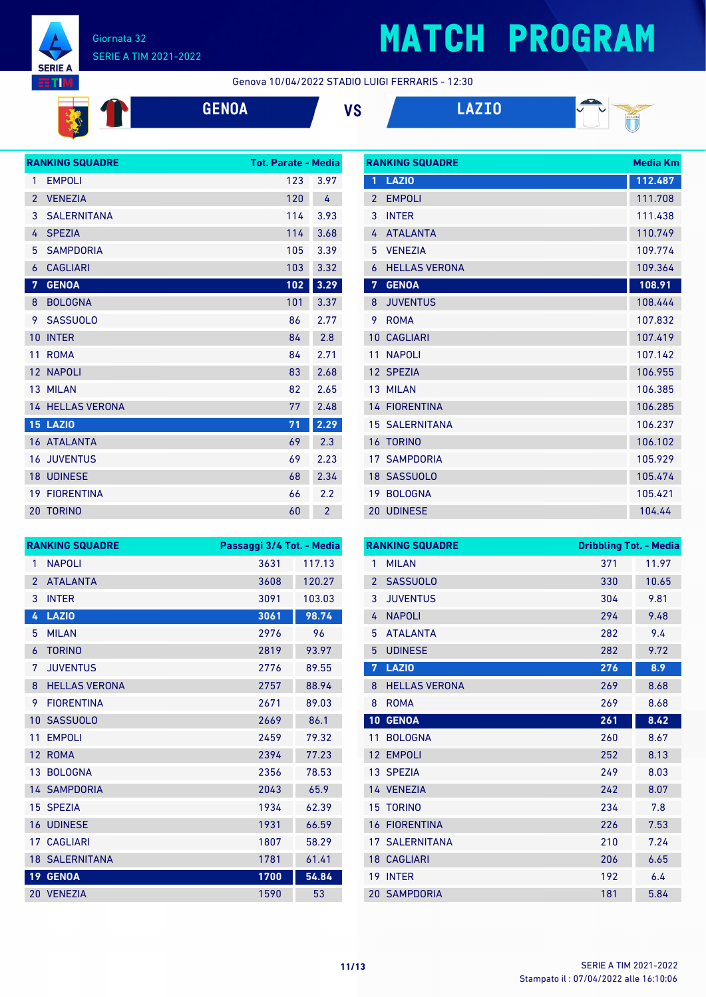

#### Giornata 32 SERIE A TIM 2021-2022

## **MATCH PROGRAM**

**RANKING SQUADRE Media Km** 

#### Genova 10/04/2022 STADIO LUIGI FERRARIS - 12:30



**GENOA VS LAZIO**



|                | <b>RANKING SQUADRE</b>  | <b>Tot. Parate - Media</b> |                |
|----------------|-------------------------|----------------------------|----------------|
| 1              | <b>EMPOLI</b>           | 123                        | 3.97           |
| $\overline{2}$ | <b>VENEZIA</b>          | 120                        | 4              |
| 3              | <b>SALERNITANA</b>      | 114                        | 3.93           |
| 4              | <b>SPEZIA</b>           | 114                        | 3.68           |
| 5              | <b>SAMPDORIA</b>        | 105                        | 3.39           |
| 6              | <b>CAGLIARI</b>         | 103                        | 3.32           |
| 7              | <b>GENOA</b>            | 102                        | 3.29           |
| 8              | <b>BOLOGNA</b>          | 101                        | 3.37           |
| 9              | <b>SASSUOLO</b>         | 86                         | 2.77           |
| 10             | <b>INTER</b>            | 84                         | 2.8            |
| 11             | <b>ROMA</b>             | 84                         | 2.71           |
|                | 12 NAPOLI               | 83                         | 2.68           |
|                | 13 MILAN                | 82                         | 2.65           |
|                | <b>14 HELLAS VERONA</b> | 77                         | 2.48           |
|                | <b>15 LAZIO</b>         | 71                         | 2.29           |
|                | <b>16 ATALANTA</b>      | 69                         | 2.3            |
|                | <b>16 JUVENTUS</b>      | 69                         | 2.23           |
|                | <b>18 UDINESE</b>       | 68                         | 2.34           |
|                | <b>19 FIORENTINA</b>    | 66                         | 2.2            |
|                | 20 TORINO               | 60                         | $\overline{2}$ |

| 1               | <b>LAZIO</b>         | 112.487 |
|-----------------|----------------------|---------|
| $\mathfrak{p}$  | <b>EMPOLI</b>        | 111.708 |
| 3               | <b>INTER</b>         | 111.438 |
| 4               | <b>ATALANTA</b>      | 110.749 |
| 5               | <b>VENEZIA</b>       | 109.774 |
| 6               | <b>HELLAS VERONA</b> | 109.364 |
| 7               | <b>GENOA</b>         | 108.91  |
| 8               | <b>JUVENTUS</b>      | 108.444 |
| 9               | <b>ROMA</b>          | 107.832 |
| 10              | <b>CAGLIARI</b>      | 107.419 |
| 11              | <b>NAPOLI</b>        | 107.142 |
|                 | 12 SPEZIA            | 106.955 |
| 13              | <b>MILAN</b>         | 106.385 |
|                 | <b>14 FIORENTINA</b> | 106.285 |
| 15              | <b>SAI FRNITANA</b>  | 106.237 |
| 16              | <b>TORINO</b>        | 106.102 |
| 17 <sup>7</sup> | <b>SAMPDORIA</b>     | 105.929 |
|                 | 18 SASSUOLO          | 105.474 |
| 19              | <b>BOLOGNA</b>       | 105.421 |
| $20-1$          | <b>UDINESE</b>       | 104.44  |

|                 | <b>RANKING SQUADRE</b> | Passaggi 3/4 Tot. - Media |        |
|-----------------|------------------------|---------------------------|--------|
| 1               | <b>NAPOLI</b>          | 3631                      | 117.13 |
| $\overline{2}$  | <b>ATALANTA</b>        | 3608                      | 120.27 |
| 3               | <b>INTER</b>           | 3091                      | 103.03 |
| 4               | <b>LAZIO</b>           | 3061                      | 98.74  |
| 5               | <b>MILAN</b>           | 2976                      | 96     |
| 6               | <b>TORINO</b>          | 2819                      | 93.97  |
| 7               | <b>JUVENTUS</b>        | 2776                      | 89.55  |
| 8               | <b>HELLAS VERONA</b>   | 2757                      | 88.94  |
| 9               | <b>FIORENTINA</b>      | 2671                      | 89.03  |
| 10              | <b>SASSUOLO</b>        | 2669                      | 86.1   |
| 11              | <b>EMPOLI</b>          | 2459                      | 79.32  |
| 12              | <b>ROMA</b>            | 2394                      | 77.23  |
| 13              | <b>BOLOGNA</b>         | 2356                      | 78.53  |
|                 | <b>14 SAMPDORIA</b>    | 2043                      | 65.9   |
| 15              | <b>SPEZIA</b>          | 1934                      | 62.39  |
| 16              | <b>UDINESE</b>         | 1931                      | 66.59  |
| 17              | <b>CAGLIARI</b>        | 1807                      | 58.29  |
|                 | <b>18 SALERNITANA</b>  | 1781                      | 61.41  |
| 19 <sup>°</sup> | <b>GENOA</b>           | 1700                      | 54.84  |
|                 | 20 VENEZIA             | 1590                      | 53     |

|                 | <b>RANKING SQUADRE</b> | <b>Dribbling Tot. - Media</b> |       |
|-----------------|------------------------|-------------------------------|-------|
| 1               | <b>MILAN</b>           | 371                           | 11.97 |
| $\overline{2}$  | <b>SASSUOLO</b>        | 330                           | 10.65 |
| 3               | <b>JUVENTUS</b>        | 304                           | 9.81  |
| 4               | <b>NAPOLI</b>          | 294                           | 9.48  |
| 5               | <b>ATALANTA</b>        | 282                           | 9.4   |
| 5               | <b>UDINESE</b>         | 282                           | 9.72  |
| 7               | <b>LAZIO</b>           | 276                           | 8.9   |
| 8               | <b>HELLAS VERONA</b>   | 269                           | 8.68  |
| 8               | <b>ROMA</b>            | 269                           | 8.68  |
| 10              | <b>GENOA</b>           | 261                           | 8.42  |
| 11              | <b>BOLOGNA</b>         | 260                           | 8.67  |
| 12              | <b>EMPOLI</b>          | 252                           | 8.13  |
| 13 <sup>°</sup> | <b>SPEZIA</b>          | 249                           | 8.03  |
|                 | 14 VENEZIA             | 242                           | 8.07  |
| 15              | <b>TORINO</b>          | 234                           | 7.8   |
| 16              | <b>FIORENTINA</b>      | 226                           | 7.53  |
|                 | <b>17 SALERNITANA</b>  | 210                           | 7.24  |
|                 | <b>18 CAGLIARI</b>     | 206                           | 6.65  |
| 19              | <b>INTER</b>           | 192                           | 6.4   |
|                 | <b>20 SAMPDORIA</b>    | 181                           | 5.84  |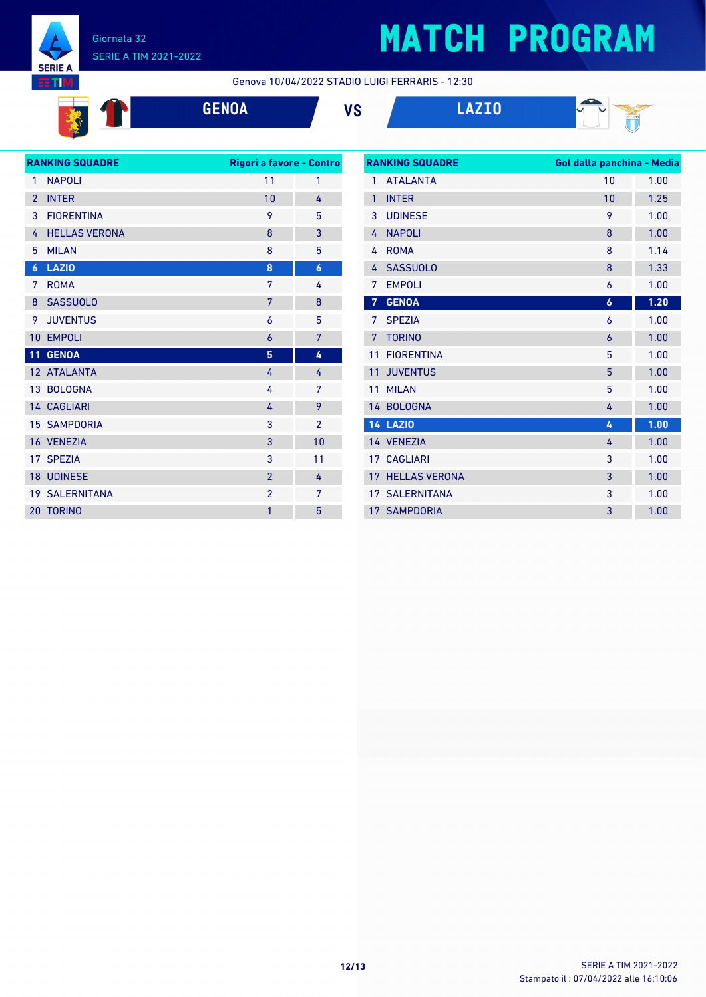

**E** 

#### Giornata 32 SERIE A TIM 2021-2022

## **MATCH PROGRAM**

Genova 10/04/2022 STADIO LUIGI FERRARIS - 12:30

**GENOA VS LAZIO**





|                  | <b>RANKING SQUADRE</b> | Rigori a favore - Contro |                  |
|------------------|------------------------|--------------------------|------------------|
| 1                | <b>NAPOLI</b>          | 11                       | 1                |
| $\overline{2}$   | <b>INTER</b>           | 10                       | 4                |
| 3                | <b>FIORENTINA</b>      | 9                        | 5                |
| 4                | <b>HELLAS VERONA</b>   | 8                        | 3                |
| 5                | <b>MILAN</b>           | 8                        | 5                |
| $\boldsymbol{6}$ | <b>LAZIO</b>           | 8                        | $\boldsymbol{6}$ |
| 7                | <b>ROMA</b>            | 7                        | 4                |
| 8                | <b>SASSUOLO</b>        | 7                        | 8                |
| 9                | <b>JUVENTUS</b>        | 6                        | 5                |
| 10               | <b>EMPOLI</b>          | 6                        | 7                |
| 11               | <b>GENOA</b>           | 5                        | 4                |
|                  | 12 ATALANTA            | 4                        | 4                |
|                  | 13 BOLOGNA             | 4                        | 7                |
|                  | <b>14 CAGLIARI</b>     | 4                        | 9                |
|                  | <b>15 SAMPDORIA</b>    | 3                        | $\overline{2}$   |
|                  | 16 VENEZIA             | 3                        | 10               |
|                  | 17 SPEZIA              | 3                        | 11               |
|                  | 18 UDINESE             | $\overline{2}$           | 4                |
|                  | <b>19 SALERNITANA</b>  | $\overline{2}$           | 7                |
| 20               | <b>TORINO</b>          | 1                        | 5                |
|                  |                        |                          |                  |

| <b>RANKING SQUADRE</b> |                       | Gol dalla panchina - Media |      |
|------------------------|-----------------------|----------------------------|------|
| 1                      | <b>ATALANTA</b>       | 10                         | 1.00 |
| $\mathbf{1}$           | <b>INTER</b>          | 10                         | 1.25 |
| 3                      | <b>UDINESE</b>        | 9                          | 1.00 |
| 4                      | <b>NAPOLI</b>         | 8                          | 1.00 |
| 4                      | <b>ROMA</b>           | 8                          | 1.14 |
| 4                      | <b>SASSUOLO</b>       | 8                          | 1.33 |
| 7                      | <b>EMPOLI</b>         | 6                          | 1.00 |
| $\overline{7}$         | <b>GENOA</b>          | 6                          | 1.20 |
| 7                      | <b>SPEZIA</b>         | 6                          | 1.00 |
| 7                      | <b>TORINO</b>         | 6                          | 1.00 |
| 11                     | <b>FIORENTINA</b>     | 5                          | 1.00 |
| 11                     | <b>JUVENTUS</b>       | 5                          | 1.00 |
| 11                     | <b>MILAN</b>          | 5                          | 1.00 |
|                        | 14 BOLOGNA            | 4                          | 1.00 |
|                        | <b>14 LAZIO</b>       | 4                          | 1.00 |
|                        | 14 VENEZIA            | 4                          | 1.00 |
|                        | 17 CAGLIARI           | 3                          | 1.00 |
| 17                     | <b>HELLAS VERONA</b>  | 3                          | 1.00 |
|                        | <b>17 SALERNITANA</b> | 3                          | 1.00 |
|                        | <b>17 SAMPDORIA</b>   | 3                          | 1.00 |